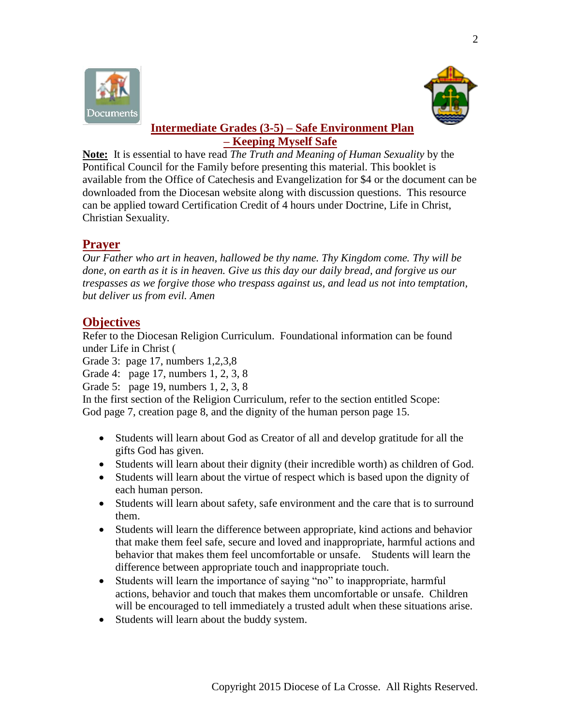



## **Intermediate Grades (3-5) – Safe Environment Plan – Keeping Myself Safe**

**Note:** It is essential to have read *The Truth and Meaning of Human Sexuality* by the Pontifical Council for the Family before presenting this material. This booklet is available from the Office of Catechesis and Evangelization for \$4 or the document can be downloaded from the Diocesan website along with discussion questions. This resource can be applied toward Certification Credit of 4 hours under Doctrine, Life in Christ, Christian Sexuality.

# **Prayer**

*Our Father who art in heaven, hallowed be thy name. Thy Kingdom come. Thy will be done, on earth as it is in heaven. Give us this day our daily bread, and forgive us our trespasses as we forgive those who trespass against us, and lead us not into temptation, but deliver us from evil. Amen*

# **Objectives**

Refer to the Diocesan Religion Curriculum. Foundational information can be found under Life in Christ (

Grade 3: page 17, numbers 1,2,3,8

Grade 4: page 17, numbers 1, 2, 3, 8

Grade 5: page 19, numbers 1, 2, 3, 8

In the first section of the Religion Curriculum, refer to the section entitled Scope: God page 7, creation page 8, and the dignity of the human person page 15.

- Students will learn about God as Creator of all and develop gratitude for all the gifts God has given.
- Students will learn about their dignity (their incredible worth) as children of God.
- Students will learn about the virtue of respect which is based upon the dignity of each human person.
- Students will learn about safety, safe environment and the care that is to surround them.
- Students will learn the difference between appropriate, kind actions and behavior that make them feel safe, secure and loved and inappropriate, harmful actions and behavior that makes them feel uncomfortable or unsafe. Students will learn the difference between appropriate touch and inappropriate touch.
- Students will learn the importance of saying "no" to inappropriate, harmful actions, behavior and touch that makes them uncomfortable or unsafe. Children will be encouraged to tell immediately a trusted adult when these situations arise.
- Students will learn about the buddy system.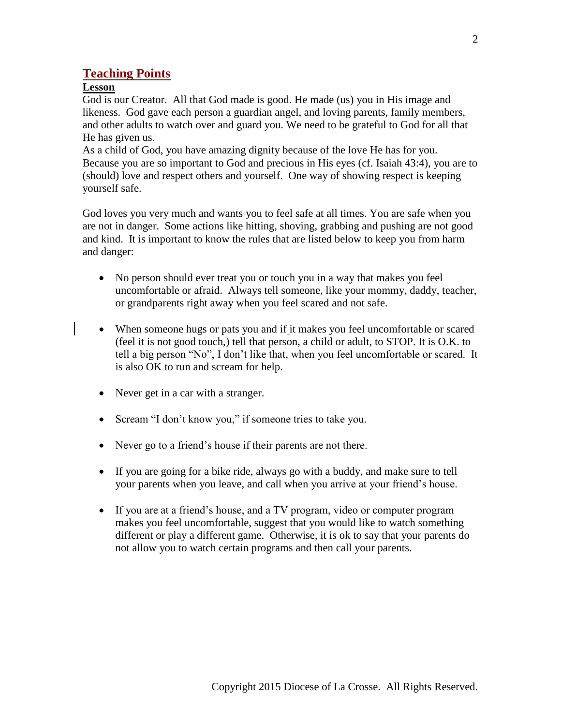### **Teaching Points**

### **Lesson**

God is our Creator. All that God made is good. He made (us) you in His image and likeness. God gave each person a guardian angel, and loving parents, family members, and other adults to watch over and guard you. We need to be grateful to God for all that He has given us.

As a child of God, you have amazing dignity because of the love He has for you. Because you are so important to God and precious in His eyes (cf. Isaiah 43:4), you are to (should) love and respect others and yourself. One way of showing respect is keeping yourself safe.

God loves you very much and wants you to feel safe at all times. You are safe when you are not in danger. Some actions like hitting, shoving, grabbing and pushing are not good and kind. It is important to know the rules that are listed below to keep you from harm and danger:

- No person should ever treat you or touch you in a way that makes you feel uncomfortable or afraid. Always tell someone, like your mommy, daddy, teacher, or grandparents right away when you feel scared and not safe.
- When someone hugs or pats you and if it makes you feel uncomfortable or scared (feel it is not good touch,) tell that person, a child or adult, to STOP. It is O.K. to tell a big person "No", I don't like that, when you feel uncomfortable or scared. It is also OK to run and scream for help.
- Never get in a car with a stranger.
- Scream "I don't know you," if some tries to take you.
- Never go to a friend's house if their parents are not there.
- If you are going for a bike ride, always go with a buddy, and make sure to tell your parents when you leave, and call when you arrive at your friend's house.
- If you are at a friend's house, and a TV program, video or computer program makes you feel uncomfortable, suggest that you would like to watch something different or play a different game. Otherwise, it is ok to say that your parents do not allow you to watch certain programs and then call your parents.